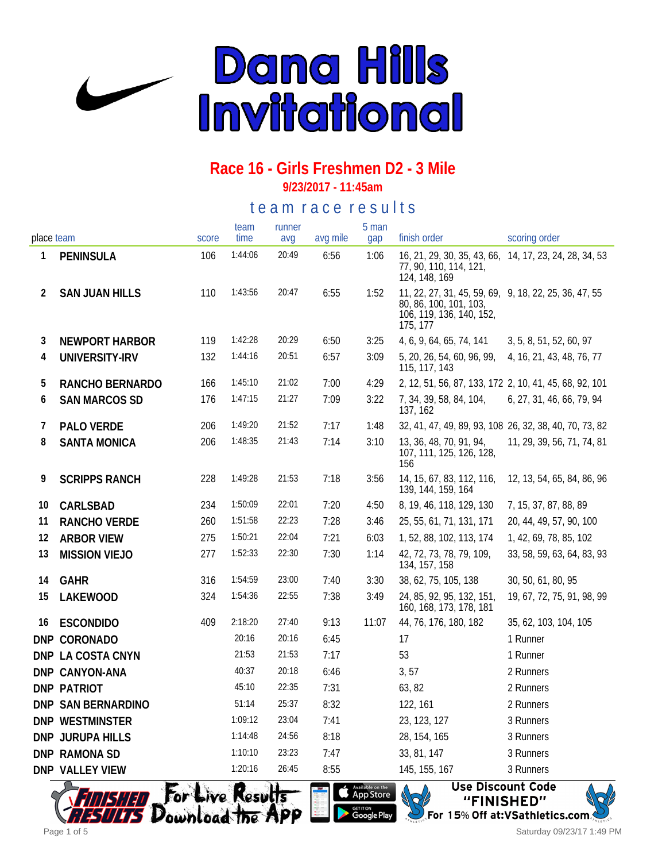

**9/23/2017 - 11:45am**

te a m r a c e r e s ults

|            |                       |       | team    | runner |          | 5 man |                                                                                                                         |                            |
|------------|-----------------------|-------|---------|--------|----------|-------|-------------------------------------------------------------------------------------------------------------------------|----------------------------|
| place team |                       | score | time    | avg    | avg mile | gap   | finish order                                                                                                            | scoring order              |
| 1          | <b>PENINSULA</b>      | 106   | 1:44:06 | 20:49  | 6:56     | 1:06  | 16, 21, 29, 30, 35, 43, 66, 14, 17, 23, 24, 28, 34, 53<br>77, 90, 110, 114, 121,<br>124, 148, 169                       |                            |
| 2          | <b>SAN JUAN HILLS</b> | 110   | 1:43:56 | 20:47  | 6:55     | 1:52  | 11, 22, 27, 31, 45, 59, 69, 9, 18, 22, 25, 36, 47, 55<br>80, 86, 100, 101, 103,<br>106, 119, 136, 140, 152,<br>175, 177 |                            |
| 3          | <b>NEWPORT HARBOR</b> | 119   | 1:42:28 | 20:29  | 6:50     | 3:25  | 4, 6, 9, 64, 65, 74, 141                                                                                                | 3, 5, 8, 51, 52, 60, 97    |
| 4          | UNIVERSITY-IRV        | 132   | 1:44:16 | 20:51  | 6:57     | 3:09  | 5, 20, 26, 54, 60, 96, 99,<br>115, 117, 143                                                                             | 4, 16, 21, 43, 48, 76, 77  |
| 5          | RANCHO BERNARDO       | 166   | 1:45:10 | 21:02  | 7:00     | 4:29  | 2, 12, 51, 56, 87, 133, 172 2, 10, 41, 45, 68, 92, 101                                                                  |                            |
| 6          | <b>SAN MARCOS SD</b>  | 176   | 1:47:15 | 21:27  | 7:09     | 3:22  | 7, 34, 39, 58, 84, 104,<br>137, 162                                                                                     | 6, 27, 31, 46, 66, 79, 94  |
| 7          | PALO VERDE            | 206   | 1:49:20 | 21:52  | 7:17     | 1:48  | 32, 41, 47, 49, 89, 93, 108 26, 32, 38, 40, 70, 73, 82                                                                  |                            |
| 8          | <b>SANTA MONICA</b>   | 206   | 1:48:35 | 21:43  | 7:14     | 3:10  | 13, 36, 48, 70, 91, 94,<br>107, 111, 125, 126, 128,<br>156                                                              | 11, 29, 39, 56, 71, 74, 81 |
| 9          | <b>SCRIPPS RANCH</b>  | 228   | 1:49:28 | 21:53  | 7:18     | 3:56  | 14, 15, 67, 83, 112, 116,<br>139, 144, 159, 164                                                                         | 12, 13, 54, 65, 84, 86, 96 |
| 10         | CARLSBAD              | 234   | 1:50:09 | 22:01  | 7:20     | 4:50  | 8, 19, 46, 118, 129, 130                                                                                                | 7, 15, 37, 87, 88, 89      |
| 11         | <b>RANCHO VERDE</b>   | 260   | 1:51:58 | 22:23  | 7:28     | 3:46  | 25, 55, 61, 71, 131, 171                                                                                                | 20, 44, 49, 57, 90, 100    |
| 12         | <b>ARBOR VIEW</b>     | 275   | 1:50:21 | 22:04  | 7:21     | 6:03  | 1, 52, 88, 102, 113, 174                                                                                                | 1, 42, 69, 78, 85, 102     |
| 13         | <b>MISSION VIEJO</b>  | 277   | 1:52:33 | 22:30  | 7:30     | 1:14  | 42, 72, 73, 78, 79, 109,<br>134, 157, 158                                                                               | 33, 58, 59, 63, 64, 83, 93 |
| 14         | <b>GAHR</b>           | 316   | 1:54:59 | 23:00  | 7:40     | 3:30  | 38, 62, 75, 105, 138                                                                                                    | 30, 50, 61, 80, 95         |
| 15         | LAKEWOOD              | 324   | 1:54:36 | 22:55  | 7:38     | 3:49  | 24, 85, 92, 95, 132, 151,<br>160, 168, 173, 178, 181                                                                    | 19, 67, 72, 75, 91, 98, 99 |
| 16         | <b>ESCONDIDO</b>      | 409   | 2:18:20 | 27:40  | 9:13     | 11:07 | 44, 76, 176, 180, 182                                                                                                   | 35, 62, 103, 104, 105      |
|            | DNP CORONADO          |       | 20:16   | 20:16  | 6:45     |       | 17                                                                                                                      | 1 Runner                   |
|            | DNP LA COSTA CNYN     |       | 21:53   | 21:53  | 7:17     |       | 53                                                                                                                      | 1 Runner                   |
|            | DNP CANYON-ANA        |       | 40:37   | 20:18  | 6:46     |       | 3, 57                                                                                                                   | 2 Runners                  |
|            | <b>DNP PATRIOT</b>    |       | 45:10   | 22:35  | 7:31     |       | 63, 82                                                                                                                  | 2 Runners                  |
|            | DNP SAN BERNARDINO    |       | 51:14   | 25:37  | 8:32     |       | 122, 161                                                                                                                | 2 Runners                  |
|            | DNP WESTMINSTER       |       | 1:09:12 | 23:04  | 7:41     |       | 23, 123, 127                                                                                                            | 3 Runners                  |
|            | DNP JURUPA HILLS      |       | 1:14:48 | 24:56  | 8:18     |       | 28, 154, 165                                                                                                            | 3 Runners                  |
|            | DNP RAMONA SD         |       | 1:10:10 | 23:23  | 7:47     |       | 33, 81, 147                                                                                                             | 3 Runners                  |
|            | DNP VALLEY VIEW       |       | 1:20:16 | 26:45  | 8:55     |       | 145, 155, 167                                                                                                           | 3 Runners                  |





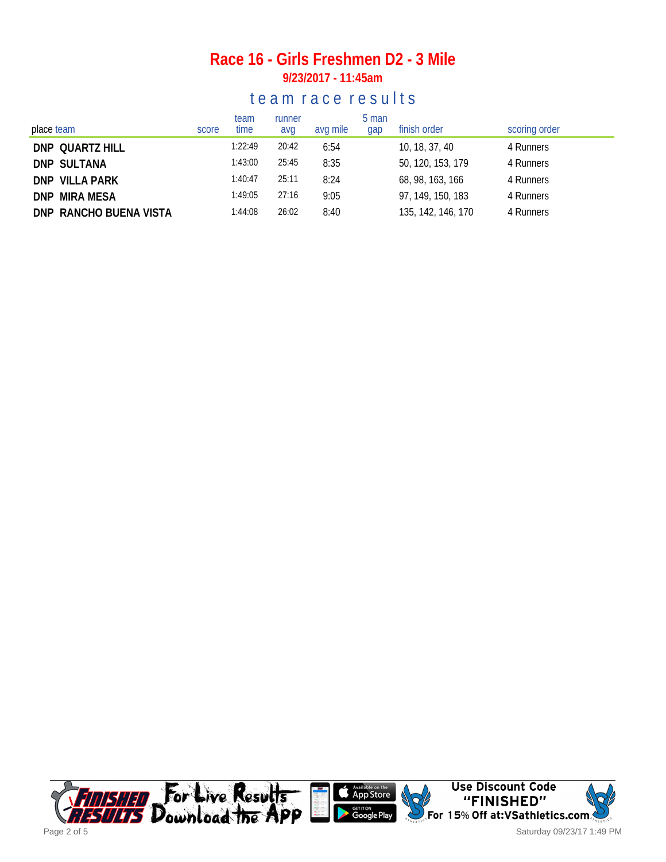#### **Race 16 - Girls Freshmen D2 - 3 Mile 9/23/2017 - 11:45am**

#### te am race results

| place team             | score | team<br>time | runner<br>avg | avg mile | 5 man<br>gap | finish order       | scoring order |
|------------------------|-------|--------------|---------------|----------|--------------|--------------------|---------------|
| DNP QUARTZ HILL        |       | 1:22:49      | 20:42         | 6:54     |              | 10, 18, 37, 40     | 4 Runners     |
| DNP SULTANA            |       | 1:43:00      | 25:45         | 8:35     |              | 50, 120, 153, 179  | 4 Runners     |
| DNP VILLA PARK         |       | 1:40:47      | 25:11         | 8:24     |              | 68, 98, 163, 166   | 4 Runners     |
| <b>DNP MIRA MESA</b>   |       | 1:49:05      | 27:16         | 9:05     |              | 97, 149, 150, 183  | 4 Runners     |
| DNP RANCHO BUENA VISTA |       | 1:44:08      | 26:02         | 8:40     |              | 135, 142, 146, 170 | 4 Runners     |

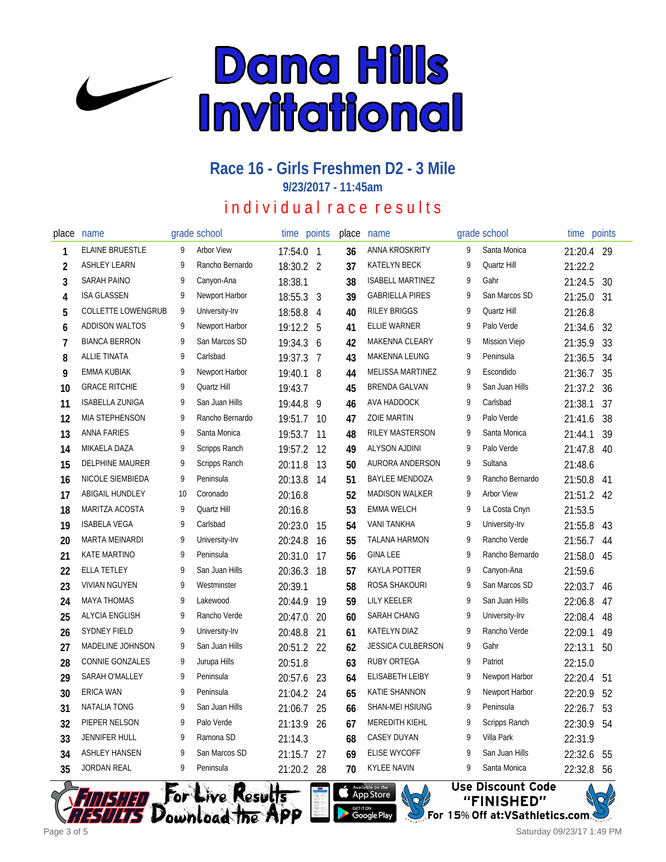

**9/23/2017 - 11:45am**

### individual race results

| place          | name                      |    | grade school      | time      | points | place | name                     |   | grade school      | time    | points |
|----------------|---------------------------|----|-------------------|-----------|--------|-------|--------------------------|---|-------------------|---------|--------|
| 1              | <b>ELAINE BRUESTLE</b>    | 9  | <b>Arbor View</b> | 17:54.0 1 |        | 36    | ANNA KROSKRITY           | 9 | Santa Monica      | 21:20.4 | - 29   |
| $\overline{2}$ | <b>ASHLEY LEARN</b>       | 9  | Rancho Bernardo   | 18:30.2 2 |        | 37    | KATELYN BECK             | 9 | Quartz Hill       | 21:22.2 |        |
| 3              | <b>SARAH PAINO</b>        | 9  | Canyon-Ana        | 18:38.1   |        | 38    | <b>ISABELL MARTINEZ</b>  | 9 | Gahr              | 21:24.5 | 30     |
| 4              | <b>ISA GLASSEN</b>        | 9  | Newport Harbor    | 18:55.3   | 3      | 39    | <b>GABRIELLA PIRES</b>   | 9 | San Marcos SD     | 21:25.0 | 31     |
| 5              | <b>COLLETTE LOWENGRUB</b> | 9  | University-Irv    | 18:58.8   | 4      | 40    | <b>RILEY BRIGGS</b>      | 9 | Quartz Hill       | 21:26.8 |        |
| 6              | <b>ADDISON WALTOS</b>     | 9  | Newport Harbor    | 19:12.2   | 5      | 41    | <b>ELLIE WARNER</b>      | 9 | Palo Verde        | 21:34.6 | 32     |
| $\overline{1}$ | <b>BIANCA BERRON</b>      | 9  | San Marcos SD     | 19:34.3   | 6      | 42    | <b>MAKENNA CLEARY</b>    | 9 | Mission Viejo     | 21:35.9 | 33     |
| 8              | ALLIE TINATA              | 9  | Carlsbad          | 19:37.3   | 7      | 43    | MAKENNA LEUNG            | 9 | Peninsula         | 21:36.5 | 34     |
| 9              | EMMA KUBIAK               | 9  | Newport Harbor    | 19:40.1   | -8     | 44    | <b>MELISSA MARTINEZ</b>  | 9 | Escondido         | 21:36.7 | 35     |
| 10             | <b>GRACE RITCHIE</b>      | 9  | Quartz Hill       | 19:43.7   |        | 45    | <b>BRENDA GALVAN</b>     | 9 | San Juan Hills    | 21:37.2 | 36     |
| 11             | ISABELLA ZUNIGA           | 9  | San Juan Hills    | 19:44.8   | 9      | 46    | AVA HADDOCK              | 9 | Carlsbad          | 21:38.1 | 37     |
| 12             | <b>MIA STEPHENSON</b>     | 9  | Rancho Bernardo   | 19:51.7   | -10    | 47    | <b>ZOIE MARTIN</b>       | 9 | Palo Verde        | 21:41.6 | 38     |
| 13             | <b>ANNA FARIES</b>        | 9  | Santa Monica      | 19:53.7   | 11     | 48    | RILEY MASTERSON          | 9 | Santa Monica      | 21:44.1 | 39     |
| 14             | MIKAELA DAZA              | 9  | Scripps Ranch     | 19:57.2   | 12     | 49    | <b>ALYSON AJDINI</b>     | 9 | Palo Verde        | 21:47.8 | 40     |
| 15             | <b>DELPHINE MAURER</b>    | 9  | Scripps Ranch     | 20:11.8   | 13     | 50    | AURORA ANDERSON          | 9 | Sultana           | 21:48.6 |        |
| 16             | NICOLE SIEMBIEDA          | 9  | Peninsula         | 20:13.8   | 14     | 51    | <b>BAYLEE MENDOZA</b>    | 9 | Rancho Bernardo   | 21:50.8 | 41     |
| 17             | ABIGAIL HUNDLEY           | 10 | Coronado          | 20:16.8   |        | 52    | <b>MADISON WALKER</b>    | 9 | <b>Arbor View</b> | 21:51.2 | 42     |
| 18             | MARITZA ACOSTA            | 9  | Quartz Hill       | 20:16.8   |        | 53    | <b>EMMA WELCH</b>        | 9 | La Costa Cnyn     | 21:53.5 |        |
| 19             | <b>ISABELA VEGA</b>       | 9  | Carlsbad          | 20:23.0   | 15     | 54    | <b>VANI TANKHA</b>       | 9 | University-Irv    | 21:55.8 | 43     |
| 20             | <b>MARTA MEINARDI</b>     | 9  | University-Irv    | 20:24.8   | 16     | 55    | <b>TALANA HARMON</b>     | 9 | Rancho Verde      | 21:56.7 | 44     |
| 21             | <b>KATE MARTINO</b>       | 9  | Peninsula         | 20:31.0   | 17     | 56    | <b>GINA LEE</b>          | 9 | Rancho Bernardo   | 21:58.0 | 45     |
| 22             | ELLA TETLEY               | 9  | San Juan Hills    | 20:36.3   | 18     | 57    | KAYLA POTTER             | 9 | Canyon-Ana        | 21:59.6 |        |
| 23             | <b>VIVIAN NGUYEN</b>      | 9  | Westminster       | 20:39.1   |        | 58    | ROSA SHAKOURI            | 9 | San Marcos SD     | 22:03.7 | 46     |
| 24             | <b>MAYA THOMAS</b>        | 9  | Lakewood          | 20:44.9   | 19     | 59    | <b>LILY KEELER</b>       | 9 | San Juan Hills    | 22:06.8 | 47     |
| 25             | <b>ALYCIA ENGLISH</b>     | 9  | Rancho Verde      | 20:47.0   | 20     | 60    | SARAH CHANG              | 9 | University-Irv    | 22:08.4 | 48     |
| 26             | <b>SYDNEY FIELD</b>       | 9  | University-Irv    | 20:48.8   | 21     | 61    | KATELYN DIAZ             | 9 | Rancho Verde      | 22:09.1 | 49     |
| 27             | MADELINE JOHNSON          | 9  | San Juan Hills    | 20:51.2   | 22     | 62    | <b>JESSICA CULBERSON</b> | 9 | Gahr              | 22:13.1 | 50     |
| 28             | <b>CONNIE GONZALES</b>    | 9  | Jurupa Hills      | 20:51.8   |        | 63    | RUBY ORTEGA              | 9 | Patriot           | 22:15.0 |        |
| 29             | SARAH O'MALLEY            | 9  | Peninsula         | 20:57.6   | -23    | 64    | ELISABETH LEIBY          | 9 | Newport Harbor    | 22:20.4 | 51     |
| 30             | <b>ERICA WAN</b>          | 9  | Peninsula         | 21:04.2   | 24     | 65    | KATIE SHANNON            | 9 | Newport Harbor    | 22:20.9 | 52     |
| 31             | <b>NATALIA TONG</b>       | 9  | San Juan Hills    | 21:06.7   | 25     | 66    | SHAN-MEI HSIUNG          | 9 | Peninsula         | 22:26.7 | 53     |
| 32             | PIEPER NELSON             | 9  | Palo Verde        | 21:13.9   | 26     | 67    | MEREDITH KIEHL           | 9 | Scripps Ranch     | 22:30.9 | 54     |
| 33             | <b>JENNIFER HULL</b>      | 9  | Ramona SD         | 21:14.3   |        | 68    | <b>CASEY DUYAN</b>       | 9 | Villa Park        | 22:31.9 |        |
| 34             | <b>ASHLEY HANSEN</b>      | 9  | San Marcos SD     | 21:15.7   | 27     | 69    | <b>ELISE WYCOFF</b>      | 9 | San Juan Hills    | 22:32.6 | 55     |
| 35             | <b>JORDAN REAL</b>        | 9  | Peninsula         | 21:20.2   | 28     | 70    | <b>KYLEE NAVIN</b>       | 9 | Santa Monica      | 22:32.8 | 56     |

Available on the App Store

**GETITON**<br>Google Play



**Use Discount Code** "FINISHED"

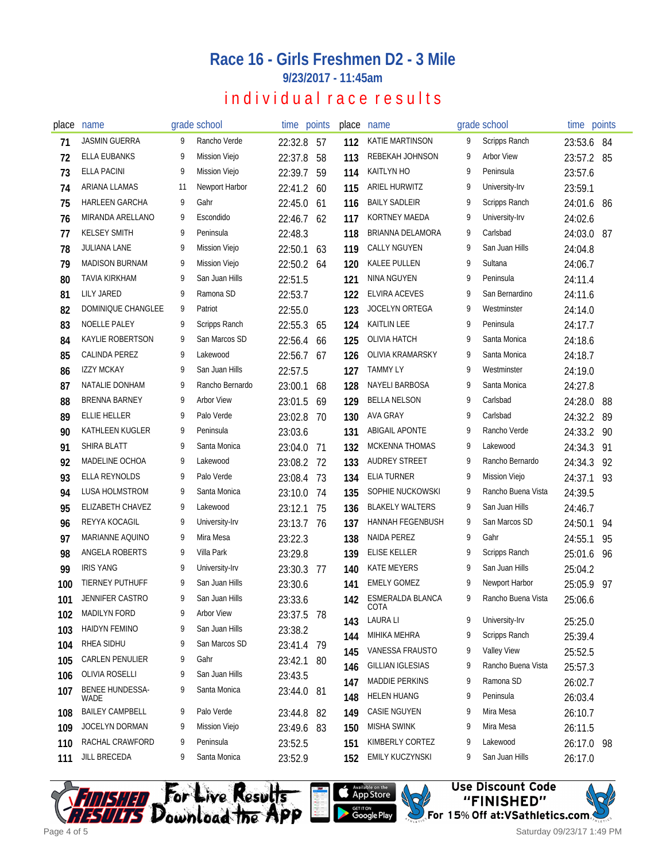**9/23/2017 - 11:45am**

## individual race results

| place | name                    |    | grade school         | time points |     | place | name                     |   | grade school       | time points |      |
|-------|-------------------------|----|----------------------|-------------|-----|-------|--------------------------|---|--------------------|-------------|------|
| 71    | <b>JASMIN GUERRA</b>    |    | Rancho Verde         | 22:32.8 57  |     | 112   | KATIE MARTINSON          | 9 | Scripps Ranch      | 23:53.6     | - 84 |
| 72    | <b>ELLA EUBANKS</b>     | 9  | <b>Mission Viejo</b> | 22:37.8     | 58  | 113   | REBEKAH JOHNSON          | 9 | <b>Arbor View</b>  | 23:57.2 85  |      |
| 73    | <b>ELLA PACINI</b>      | 9  | <b>Mission Viejo</b> | 22:39.7     | 59  | 114   | <b>KAITLYN HO</b>        | 9 | Peninsula          | 23:57.6     |      |
| 74    | ARIANA LLAMAS           | 11 | Newport Harbor       | 22:41.2 60  |     | 115   | ARIEL HURWITZ            | 9 | University-Irv     | 23:59.1     |      |
| 75    | <b>HARLEEN GARCHA</b>   | 9  | Gahr                 | 22:45.0     | -61 | 116   | <b>BAILY SADLEIR</b>     | 9 | Scripps Ranch      | 24:01.6     | 86   |
| 76    | MIRANDA ARELLANO        | 9  | Escondido            | 22:46.7     | 62  | 117   | KORTNEY MAEDA            | 9 | University-Irv     | 24:02.6     |      |
| 77    | <b>KELSEY SMITH</b>     | 9  | Peninsula            | 22:48.3     |     | 118   | BRIANNA DELAMORA         | 9 | Carlsbad           | 24:03.0 87  |      |
| 78    | <b>JULIANA LANE</b>     | 9  | Mission Viejo        | 22:50.1     | 63  | 119   | <b>CALLY NGUYEN</b>      | 9 | San Juan Hills     | 24:04.8     |      |
| 79    | <b>MADISON BURNAM</b>   | 9  | <b>Mission Viejo</b> | 22:50.2 64  |     | 120   | <b>KALEE PULLEN</b>      | 9 | Sultana            | 24:06.7     |      |
| 80    | TAVIA KIRKHAM           | 9  | San Juan Hills       | 22:51.5     |     | 121   | NINA NGUYEN              | 9 | Peninsula          | 24:11.4     |      |
| 81    | <b>LILY JARED</b>       | 9  | Ramona SD            | 22:53.7     |     | 122   | ELVIRA ACEVES            | 9 | San Bernardino     | 24:11.6     |      |
| 82    | DOMINIQUE CHANGLEE      | 9  | Patriot              | 22:55.0     |     | 123   | JOCELYN ORTEGA           | 9 | Westminster        | 24:14.0     |      |
| 83    | NOELLE PALEY            | 9  | Scripps Ranch        | 22:55.3     | 65  | 124   | <b>KAITLIN LEE</b>       | 9 | Peninsula          | 24:17.7     |      |
| 84    | KAYLIE ROBERTSON        | 9  | San Marcos SD        | 22:56.4 66  |     | 125   | <b>OLIVIA HATCH</b>      | 9 | Santa Monica       | 24:18.6     |      |
| 85    | CALINDA PEREZ           | 9  | Lakewood             | 22:56.7     | 67  | 126   | OLIVIA KRAMARSKY         | 9 | Santa Monica       | 24:18.7     |      |
| 86    | <b>IZZY MCKAY</b>       | 9  | San Juan Hills       | 22:57.5     |     | 127   | TAMMY LY                 | 9 | Westminster        | 24:19.0     |      |
| 87    | NATALIE DONHAM          | 9  | Rancho Bernardo      | 23:00.1     | 68  | 128   | NAYELI BARBOSA           | 9 | Santa Monica       | 24:27.8     |      |
| 88    | BRENNA BARNEY           | 9  | <b>Arbor View</b>    | 23:01.5     | 69  | 129   | <b>BELLA NELSON</b>      | 9 | Carlsbad           | 24:28.0     | 88   |
| 89    | <b>ELLIE HELLER</b>     | 9  | Palo Verde           | 23:02.8     | 70  | 130   | <b>AVA GRAY</b>          | 9 | Carlsbad           | 24:32.2     | 89   |
| 90    | KATHLEEN KUGLER         | 9  | Peninsula            | 23:03.6     |     | 131   | <b>ABIGAIL APONTE</b>    | 9 | Rancho Verde       | 24:33.2     | 90   |
| 91    | <b>SHIRA BLATT</b>      | 9  | Santa Monica         | 23:04.0     | 71  | 132   | <b>MCKENNA THOMAS</b>    | 9 | Lakewood           | 24:34.3     | 91   |
| 92    | MADELINE OCHOA          | 9  | Lakewood             | 23:08.2 72  |     | 133   | AUDREY STREET            | 9 | Rancho Bernardo    | 24:34.3     | 92   |
| 93    | ELLA REYNOLDS           | 9  | Palo Verde           | 23:08.4     | 73  | 134   | <b>ELIA TURNER</b>       | 9 | Mission Viejo      | 24:37.1     | 93   |
| 94    | LUSA HOLMSTROM          | 9  | Santa Monica         | 23:10.0     | 74  | 135   | SOPHIE NUCKOWSKI         | 9 | Rancho Buena Vista | 24:39.5     |      |
| 95    | ELIZABETH CHAVEZ        | 9  | Lakewood             | 23:12.1     | 75  | 136   | <b>BLAKELY WALTERS</b>   | 9 | San Juan Hills     | 24:46.7     |      |
| 96    | REYYA KOCAGIL           | 9  | University-Irv       | 23:13.7 76  |     | 137   | <b>HANNAH FEGENBUSH</b>  | 9 | San Marcos SD      | 24:50.1     | 94   |
| 97    | MARIANNE AQUINO         | 9  | Mira Mesa            | 23:22.3     |     | 138   | NAIDA PEREZ              | 9 | Gahr               | 24:55.1     | 95   |
| 98    | ANGELA ROBERTS          | 9  | Villa Park           | 23:29.8     |     | 139   | <b>ELISE KELLER</b>      | 9 | Scripps Ranch      | 25:01.6     | 96   |
| 99    | <b>IRIS YANG</b>        | 9  | University-Irv       | 23:30.3     | -77 | 140   | <b>KATE MEYERS</b>       | 9 | San Juan Hills     | 25:04.2     |      |
| 100   | <b>TIERNEY PUTHUFF</b>  | 9  | San Juan Hills       | 23:30.6     |     | 141   | <b>EMELY GOMEZ</b>       | 9 | Newport Harbor     | 25:05.9     | 97   |
| 101   | JENNIFER CASTRO         | 9  | San Juan Hills       | 23:33.6     |     | 142   | ESMERALDA BLANCA<br>COTA | 9 | Rancho Buena Vista | 25:06.6     |      |
| 102   | <b>MADILYN FORD</b>     | 9  | <b>Arbor View</b>    | 23:37.5 78  |     | 143   | <b>LAURA LI</b>          | 9 | University-Irv     | 25:25.0     |      |
| 103   | <b>HAIDYN FEMINO</b>    | 9  | San Juan Hills       | 23:38.2     |     | 144   | MIHIKA MEHRA             | 9 | Scripps Ranch      | 25:39.4     |      |
| 104   | RHEA SIDHU              | 9  | San Marcos SD        | 23:41.4 79  |     | 145   | VANESSA FRAUSTO          | 9 | <b>Valley View</b> | 25:52.5     |      |
| 105   | <b>CARLEN PENULIER</b>  | 9  | Gahr                 | 23:42.1 80  |     | 146   | <b>GILLIAN IGLESIAS</b>  | 9 | Rancho Buena Vista | 25:57.3     |      |
| 106   | <b>OLIVIA ROSELLI</b>   | 9  | San Juan Hills       | 23:43.5     |     | 147   | <b>MADDIE PERKINS</b>    | 9 | Ramona SD          | 26:02.7     |      |
| 107   | BENEE HUNDESSA-<br>WADE | 9  | Santa Monica         | 23:44.0 81  |     | 148   | <b>HELEN HUANG</b>       | 9 | Peninsula          | 26:03.4     |      |
| 108   | <b>BAILEY CAMPBELL</b>  | 9  | Palo Verde           | 23:44.8     | 82  | 149   | <b>CASIE NGUYEN</b>      | 9 | Mira Mesa          | 26:10.7     |      |
| 109   | JOCELYN DORMAN          | 9  | <b>Mission Viejo</b> | 23:49.6 83  |     | 150   | <b>MISHA SWINK</b>       | 9 | Mira Mesa          | 26:11.5     |      |
| 110   | RACHAL CRAWFORD         | 9  | Peninsula            | 23:52.5     |     | 151   | KIMBERLY CORTEZ          | 9 | Lakewood           | 26:17.0 98  |      |
| 111   | JILL BRECEDA            | 9  | Santa Monica         | 23:52.9     |     | 152   | EMILY KUCZYNSKI          | 9 | San Juan Hills     | 26:17.0     |      |